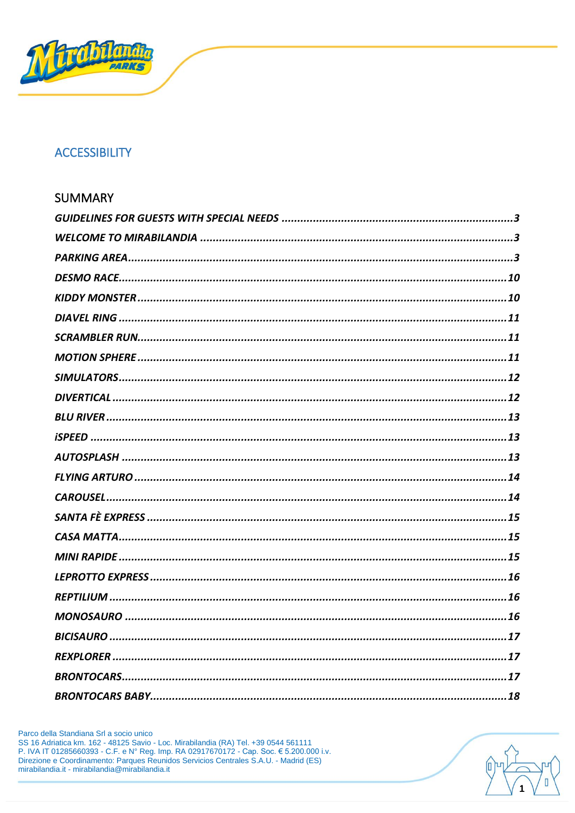

## **ACCESSIBILITY**

| SUMMARY |
|---------|
|         |
|         |
|         |
|         |
|         |
|         |
|         |
|         |
|         |
|         |
|         |
|         |
|         |
|         |
|         |
|         |
|         |
|         |
|         |
|         |
|         |
|         |
|         |
|         |
|         |

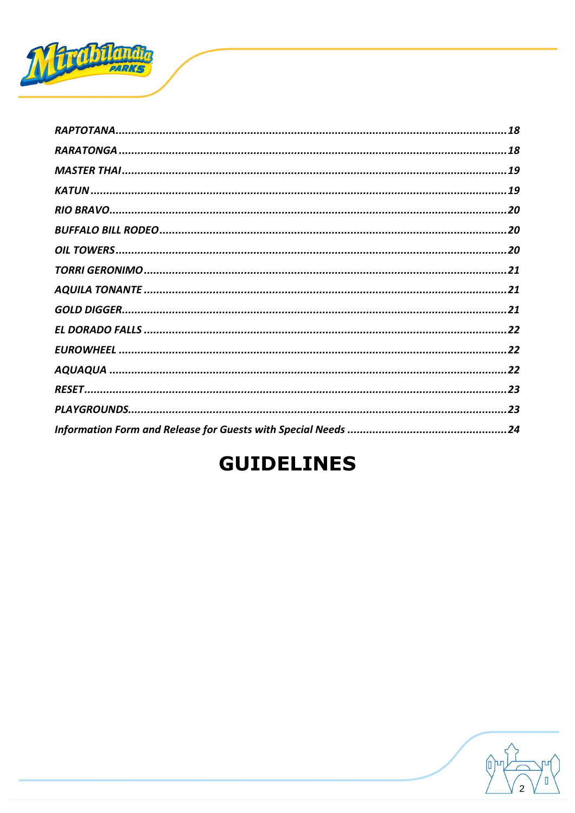

# **GUIDELINES**

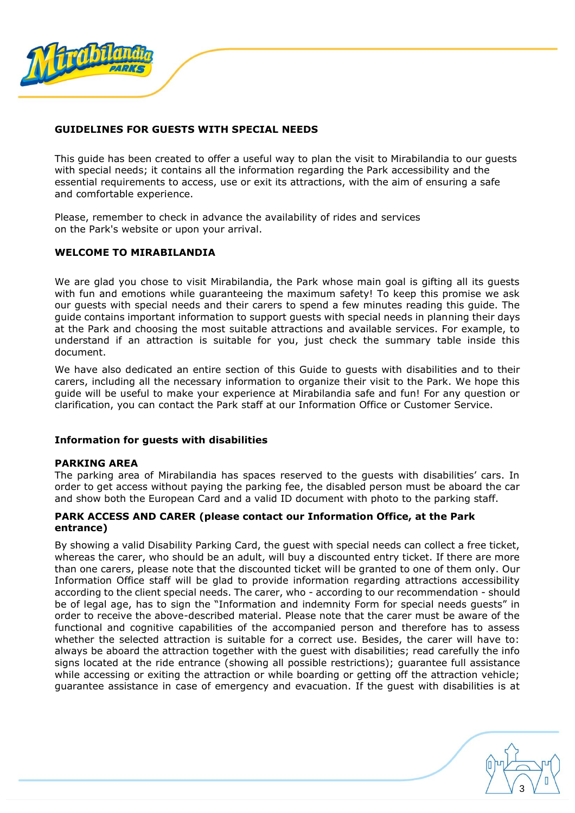

## <span id="page-2-0"></span>**GUIDELINES FOR GUESTS WITH SPECIAL NEEDS**

This guide has been created to offer a useful way to plan the visit to Mirabilandia to our guests with special needs; it contains all the information regarding the Park accessibility and the essential requirements to access, use or exit its attractions, with the aim of ensuring a safe and comfortable experience.

Please, remember to check in advance the availability of rides and services on the Park's website or upon your arrival.

## <span id="page-2-1"></span>**WELCOME TO MIRABILANDIA**

We are glad you chose to visit Mirabilandia, the Park whose main goal is gifting all its guests with fun and emotions while guaranteeing the maximum safety! To keep this promise we ask our guests with special needs and their carers to spend a few minutes reading this guide. The guide contains important information to support guests with special needs in planning their days at the Park and choosing the most suitable attractions and available services. For example, to understand if an attraction is suitable for you, just check the summary table inside this document.

We have also dedicated an entire section of this Guide to guests with disabilities and to their carers, including all the necessary information to organize their visit to the Park. We hope this guide will be useful to make your experience at Mirabilandia safe and fun! For any question or clarification, you can contact the Park staff at our Information Office or Customer Service.

#### **Information for guests with disabilities**

#### <span id="page-2-2"></span>**PARKING AREA**

The parking area of Mirabilandia has spaces reserved to the guests with disabilities' cars. In order to get access without paying the parking fee, the disabled person must be aboard the car and show both the European Card and a valid ID document with photo to the parking staff.

#### **PARK ACCESS AND CARER (please contact our Information Office, at the Park entrance)**

By showing a valid Disability Parking Card, the guest with special needs can collect a free ticket, whereas the carer, who should be an adult, will buy a discounted entry ticket. If there are more than one carers, please note that the discounted ticket will be granted to one of them only. Our Information Office staff will be glad to provide information regarding attractions accessibility according to the client special needs. The carer, who - according to our recommendation - should be of legal age, has to sign the "Information and indemnity Form for special needs guests" in order to receive the above-described material. Please note that the carer must be aware of the functional and cognitive capabilities of the accompanied person and therefore has to assess whether the selected attraction is suitable for a correct use. Besides, the carer will have to: always be aboard the attraction together with the guest with disabilities; read carefully the info signs located at the ride entrance (showing all possible restrictions); guarantee full assistance while accessing or exiting the attraction or while boarding or getting off the attraction vehicle; guarantee assistance in case of emergency and evacuation. If the guest with disabilities is at

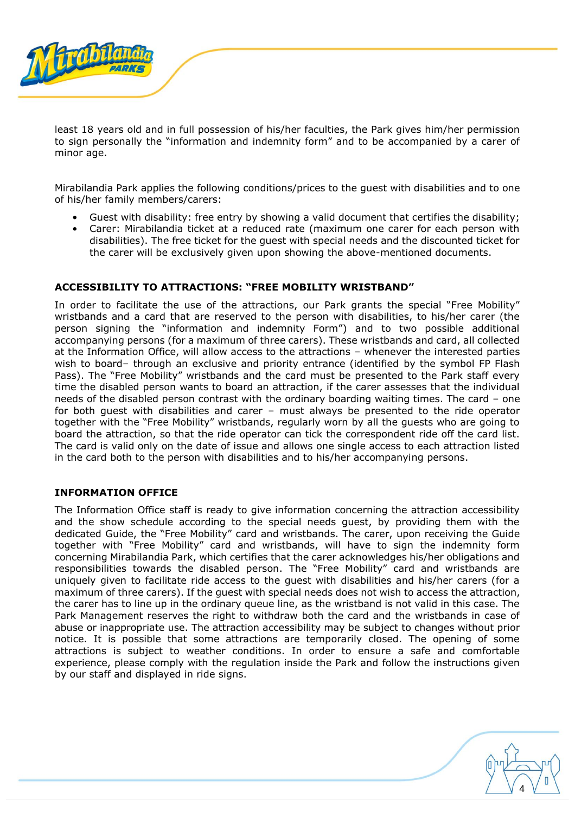

least 18 years old and in full possession of his/her faculties, the Park gives him/her permission to sign personally the "information and indemnity form" and to be accompanied by a carer of minor age.

Mirabilandia Park applies the following conditions/prices to the guest with disabilities and to one of his/her family members/carers:

- Guest with disability: free entry by showing a valid document that certifies the disability;
- Carer: Mirabilandia ticket at a reduced rate (maximum one carer for each person with disabilities). The free ticket for the guest with special needs and the discounted ticket for the carer will be exclusively given upon showing the above-mentioned documents.

## **ACCESSIBILITY TO ATTRACTIONS: "FREE MOBILITY WRISTBAND"**

In order to facilitate the use of the attractions, our Park grants the special "Free Mobility" wristbands and a card that are reserved to the person with disabilities, to his/her carer (the person signing the "information and indemnity Form") and to two possible additional accompanying persons (for a maximum of three carers). These wristbands and card, all collected at the Information Office, will allow access to the attractions – whenever the interested parties wish to board– through an exclusive and priority entrance (identified by the symbol FP Flash Pass). The "Free Mobility" wristbands and the card must be presented to the Park staff every time the disabled person wants to board an attraction, if the carer assesses that the individual needs of the disabled person contrast with the ordinary boarding waiting times. The card – one for both guest with disabilities and carer – must always be presented to the ride operator together with the "Free Mobility" wristbands, regularly worn by all the guests who are going to board the attraction, so that the ride operator can tick the correspondent ride off the card list. The card is valid only on the date of issue and allows one single access to each attraction listed in the card both to the person with disabilities and to his/her accompanying persons.

#### **INFORMATION OFFICE**

The Information Office staff is ready to give information concerning the attraction accessibility and the show schedule according to the special needs guest, by providing them with the dedicated Guide, the "Free Mobility" card and wristbands. The carer, upon receiving the Guide together with "Free Mobility" card and wristbands, will have to sign the indemnity form concerning Mirabilandia Park, which certifies that the carer acknowledges his/her obligations and responsibilities towards the disabled person. The "Free Mobility" card and wristbands are uniquely given to facilitate ride access to the guest with disabilities and his/her carers (for a maximum of three carers). If the guest with special needs does not wish to access the attraction, the carer has to line up in the ordinary queue line, as the wristband is not valid in this case. The Park Management reserves the right to withdraw both the card and the wristbands in case of abuse or inappropriate use. The attraction accessibility may be subject to changes without prior notice. It is possible that some attractions are temporarily closed. The opening of some attractions is subject to weather conditions. In order to ensure a safe and comfortable experience, please comply with the regulation inside the Park and follow the instructions given by our staff and displayed in ride signs.

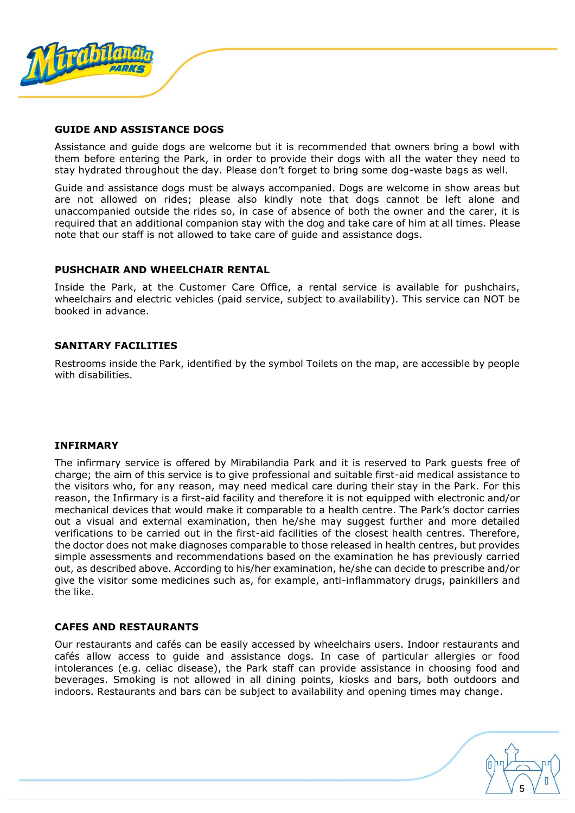

#### **GUIDE AND ASSISTANCE DOGS**

Assistance and guide dogs are welcome but it is recommended that owners bring a bowl with them before entering the Park, in order to provide their dogs with all the water they need to stay hydrated throughout the day. Please don't forget to bring some dog-waste bags as well.

Guide and assistance dogs must be always accompanied. Dogs are welcome in show areas but are not allowed on rides; please also kindly note that dogs cannot be left alone and unaccompanied outside the rides so, in case of absence of both the owner and the carer, it is required that an additional companion stay with the dog and take care of him at all times. Please note that our staff is not allowed to take care of guide and assistance dogs.

#### **PUSHCHAIR AND WHEELCHAIR RENTAL**

Inside the Park, at the Customer Care Office, a rental service is available for pushchairs, wheelchairs and electric vehicles (paid service, subject to availability). This service can NOT be booked in advance.

## **SANITARY FACILITIES**

Restrooms inside the Park, identified by the symbol Toilets on the map, are accessible by people with disabilities.

#### **INFIRMARY**

The infirmary service is offered by Mirabilandia Park and it is reserved to Park guests free of charge; the aim of this service is to give professional and suitable first-aid medical assistance to the visitors who, for any reason, may need medical care during their stay in the Park. For this reason, the Infirmary is a first-aid facility and therefore it is not equipped with electronic and/or mechanical devices that would make it comparable to a health centre. The Park's doctor carries out a visual and external examination, then he/she may suggest further and more detailed verifications to be carried out in the first-aid facilities of the closest health centres. Therefore, the doctor does not make diagnoses comparable to those released in health centres, but provides simple assessments and recommendations based on the examination he has previously carried out, as described above. According to his/her examination, he/she can decide to prescribe and/or give the visitor some medicines such as, for example, anti-inflammatory drugs, painkillers and the like.

#### **CAFES AND RESTAURANTS**

Our restaurants and cafés can be easily accessed by wheelchairs users. Indoor restaurants and cafés allow access to guide and assistance dogs. In case of particular allergies or food intolerances (e.g. celiac disease), the Park staff can provide assistance in choosing food and beverages. Smoking is not allowed in all dining points, kiosks and bars, both outdoors and indoors. Restaurants and bars can be subject to availability and opening times may change.

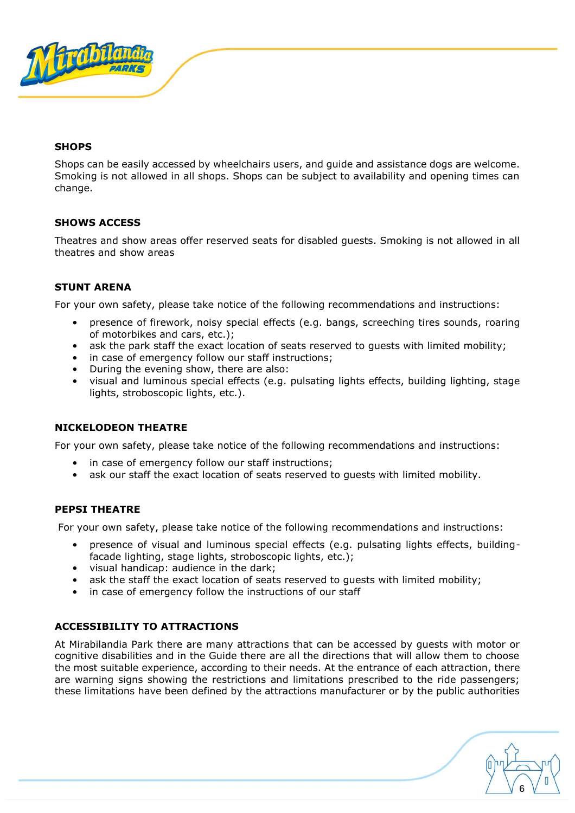

## **SHOPS**

Shops can be easily accessed by wheelchairs users, and guide and assistance dogs are welcome. Smoking is not allowed in all shops. Shops can be subject to availability and opening times can change.

## **SHOWS ACCESS**

Theatres and show areas offer reserved seats for disabled guests. Smoking is not allowed in all theatres and show areas

## **STUNT ARENA**

For your own safety, please take notice of the following recommendations and instructions:

- presence of firework, noisy special effects (e.g. bangs, screeching tires sounds, roaring of motorbikes and cars, etc.);
- ask the park staff the exact location of seats reserved to guests with limited mobility;
- in case of emergency follow our staff instructions;
- During the evening show, there are also:
- visual and luminous special effects (e.g. pulsating lights effects, building lighting, stage lights, stroboscopic lights, etc.).

## **NICKELODEON THEATRE**

For your own safety, please take notice of the following recommendations and instructions:

- in case of emergency follow our staff instructions;
- ask our staff the exact location of seats reserved to guests with limited mobility.

## **PEPSI THEATRE**

For your own safety, please take notice of the following recommendations and instructions:

- presence of visual and luminous special effects (e.g. pulsating lights effects, buildingfacade lighting, stage lights, stroboscopic lights, etc.);
- visual handicap: audience in the dark;
- ask the staff the exact location of seats reserved to quests with limited mobility;
- in case of emergency follow the instructions of our staff

## **ACCESSIBILITY TO ATTRACTIONS**

At Mirabilandia Park there are many attractions that can be accessed by guests with motor or cognitive disabilities and in the Guide there are all the directions that will allow them to choose the most suitable experience, according to their needs. At the entrance of each attraction, there are warning signs showing the restrictions and limitations prescribed to the ride passengers; these limitations have been defined by the attractions manufacturer or by the public authorities

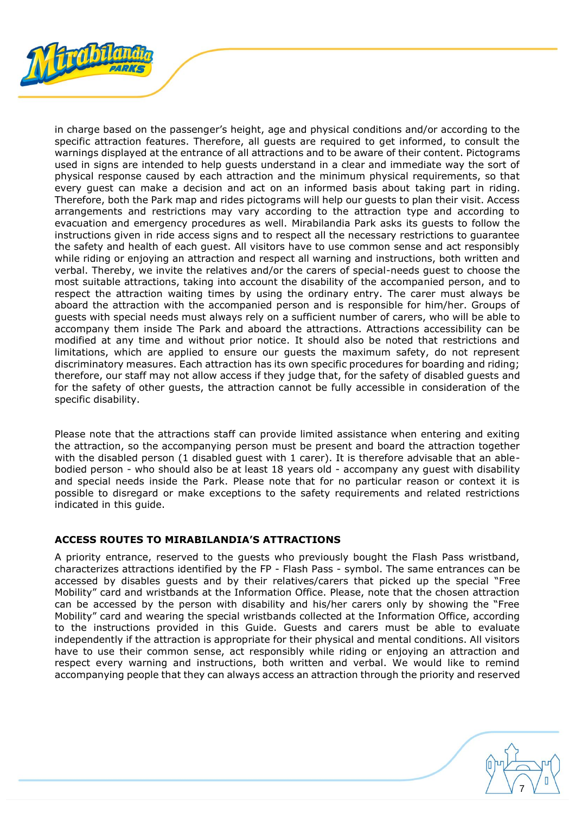

in charge based on the passenger's height, age and physical conditions and/or according to the specific attraction features. Therefore, all guests are required to get informed, to consult the warnings displayed at the entrance of all attractions and to be aware of their content. Pictograms used in signs are intended to help guests understand in a clear and immediate way the sort of physical response caused by each attraction and the minimum physical requirements, so that every guest can make a decision and act on an informed basis about taking part in riding. Therefore, both the Park map and rides pictograms will help our guests to plan their visit. Access arrangements and restrictions may vary according to the attraction type and according to evacuation and emergency procedures as well. Mirabilandia Park asks its guests to follow the instructions given in ride access signs and to respect all the necessary restrictions to guarantee the safety and health of each guest. All visitors have to use common sense and act responsibly while riding or enjoying an attraction and respect all warning and instructions, both written and verbal. Thereby, we invite the relatives and/or the carers of special-needs guest to choose the most suitable attractions, taking into account the disability of the accompanied person, and to respect the attraction waiting times by using the ordinary entry. The carer must always be aboard the attraction with the accompanied person and is responsible for him/her. Groups of guests with special needs must always rely on a sufficient number of carers, who will be able to accompany them inside The Park and aboard the attractions. Attractions accessibility can be modified at any time and without prior notice. It should also be noted that restrictions and limitations, which are applied to ensure our guests the maximum safety, do not represent discriminatory measures. Each attraction has its own specific procedures for boarding and riding; therefore, our staff may not allow access if they judge that, for the safety of disabled guests and for the safety of other guests, the attraction cannot be fully accessible in consideration of the specific disability.

Please note that the attractions staff can provide limited assistance when entering and exiting the attraction, so the accompanying person must be present and board the attraction together with the disabled person (1 disabled guest with 1 carer). It is therefore advisable that an ablebodied person - who should also be at least 18 years old - accompany any guest with disability and special needs inside the Park. Please note that for no particular reason or context it is possible to disregard or make exceptions to the safety requirements and related restrictions indicated in this guide.

## **ACCESS ROUTES TO MIRABILANDIA'S ATTRACTIONS**

A priority entrance, reserved to the guests who previously bought the Flash Pass wristband, characterizes attractions identified by the FP - Flash Pass - symbol. The same entrances can be accessed by disables guests and by their relatives/carers that picked up the special "Free Mobility" card and wristbands at the Information Office. Please, note that the chosen attraction can be accessed by the person with disability and his/her carers only by showing the "Free Mobility" card and wearing the special wristbands collected at the Information Office, according to the instructions provided in this Guide. Guests and carers must be able to evaluate independently if the attraction is appropriate for their physical and mental conditions. All visitors have to use their common sense, act responsibly while riding or enjoying an attraction and respect every warning and instructions, both written and verbal. We would like to remind accompanying people that they can always access an attraction through the priority and reserved

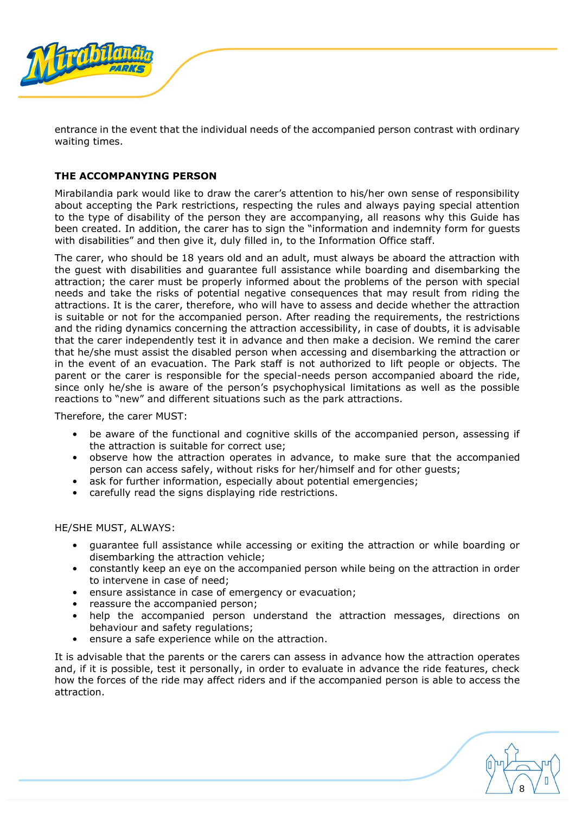

entrance in the event that the individual needs of the accompanied person contrast with ordinary waiting times.

## **THE ACCOMPANYING PERSON**

Mirabilandia park would like to draw the carer's attention to his/her own sense of responsibility about accepting the Park restrictions, respecting the rules and always paying special attention to the type of disability of the person they are accompanying, all reasons why this Guide has been created. In addition, the carer has to sign the "information and indemnity form for guests with disabilities" and then give it, duly filled in, to the Information Office staff.

The carer, who should be 18 years old and an adult, must always be aboard the attraction with the guest with disabilities and guarantee full assistance while boarding and disembarking the attraction; the carer must be properly informed about the problems of the person with special needs and take the risks of potential negative consequences that may result from riding the attractions. It is the carer, therefore, who will have to assess and decide whether the attraction is suitable or not for the accompanied person. After reading the requirements, the restrictions and the riding dynamics concerning the attraction accessibility, in case of doubts, it is advisable that the carer independently test it in advance and then make a decision. We remind the carer that he/she must assist the disabled person when accessing and disembarking the attraction or in the event of an evacuation. The Park staff is not authorized to lift people or objects. The parent or the carer is responsible for the special-needs person accompanied aboard the ride, since only he/she is aware of the person's psychophysical limitations as well as the possible reactions to "new" and different situations such as the park attractions.

Therefore, the carer MUST:

- be aware of the functional and cognitive skills of the accompanied person, assessing if the attraction is suitable for correct use;
- observe how the attraction operates in advance, to make sure that the accompanied person can access safely, without risks for her/himself and for other guests;
- ask for further information, especially about potential emergencies;
- carefully read the signs displaying ride restrictions.

HE/SHE MUST, ALWAYS:

- guarantee full assistance while accessing or exiting the attraction or while boarding or disembarking the attraction vehicle;
- constantly keep an eye on the accompanied person while being on the attraction in order to intervene in case of need;
- ensure assistance in case of emergency or evacuation;
- reassure the accompanied person;
- help the accompanied person understand the attraction messages, directions on behaviour and safety regulations;
- ensure a safe experience while on the attraction.

It is advisable that the parents or the carers can assess in advance how the attraction operates and, if it is possible, test it personally, in order to evaluate in advance the ride features, check how the forces of the ride may affect riders and if the accompanied person is able to access the attraction.

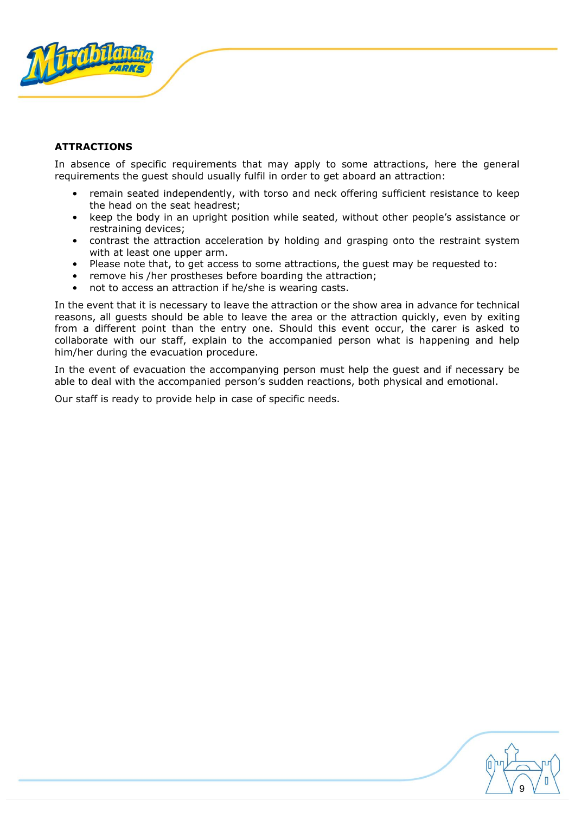

## **ATTRACTIONS**

In absence of specific requirements that may apply to some attractions, here the general requirements the guest should usually fulfil in order to get aboard an attraction:

- remain seated independently, with torso and neck offering sufficient resistance to keep the head on the seat headrest;
- keep the body in an upright position while seated, without other people's assistance or restraining devices;
- contrast the attraction acceleration by holding and grasping onto the restraint system with at least one upper arm.
- Please note that, to get access to some attractions, the guest may be requested to:
- remove his /her prostheses before boarding the attraction;
- not to access an attraction if he/she is wearing casts.

In the event that it is necessary to leave the attraction or the show area in advance for technical reasons, all guests should be able to leave the area or the attraction quickly, even by exiting from a different point than the entry one. Should this event occur, the carer is asked to collaborate with our staff, explain to the accompanied person what is happening and help him/her during the evacuation procedure.

In the event of evacuation the accompanying person must help the guest and if necessary be able to deal with the accompanied person's sudden reactions, both physical and emotional.

Our staff is ready to provide help in case of specific needs.

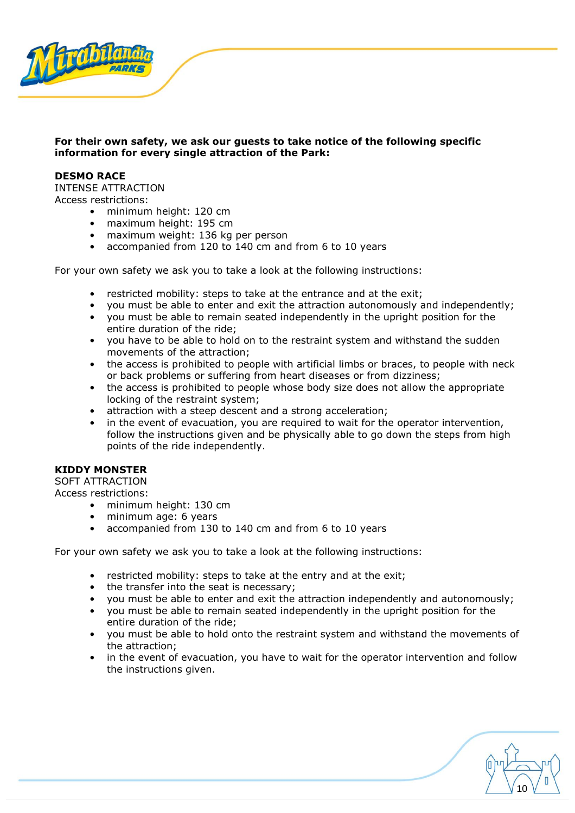

## **For their own safety, we ask our guests to take notice of the following specific information for every single attraction of the Park:**

#### <span id="page-9-0"></span>**DESMO RACE**

INTENSE ATTRACTION Access restrictions:

- minimum height: 120 cm
- maximum height: 195 cm
- maximum weight: 136 kg per person
- accompanied from 120 to 140 cm and from 6 to 10 years

For your own safety we ask you to take a look at the following instructions:

- restricted mobility: steps to take at the entrance and at the exit;
- you must be able to enter and exit the attraction autonomously and independently;
- you must be able to remain seated independently in the upright position for the entire duration of the ride;
- you have to be able to hold on to the restraint system and withstand the sudden movements of the attraction;
- the access is prohibited to people with artificial limbs or braces, to people with neck or back problems or suffering from heart diseases or from dizziness;
- the access is prohibited to people whose body size does not allow the appropriate locking of the restraint system;
- attraction with a steep descent and a strong acceleration;
- in the event of evacuation, you are required to wait for the operator intervention, follow the instructions given and be physically able to go down the steps from high points of the ride independently.

#### <span id="page-9-1"></span>**KIDDY MONSTER**

SOFT ATTRACTION

Access restrictions:

- minimum height: 130 cm
- minimum age: 6 years
- accompanied from 130 to 140 cm and from 6 to 10 years

- restricted mobility: steps to take at the entry and at the exit;
- the transfer into the seat is necessary;
- you must be able to enter and exit the attraction independently and autonomously;
- you must be able to remain seated independently in the upright position for the entire duration of the ride;
- you must be able to hold onto the restraint system and withstand the movements of the attraction;
- in the event of evacuation, you have to wait for the operator intervention and follow the instructions given.

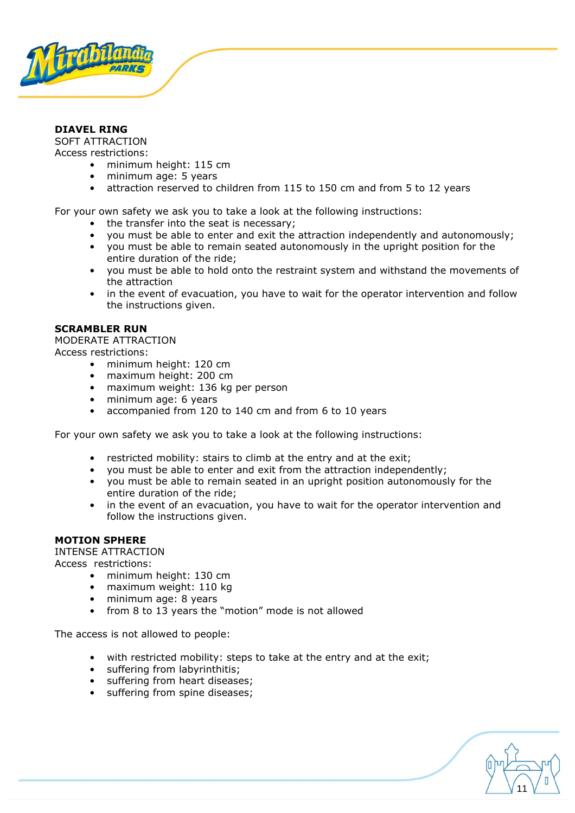

## <span id="page-10-0"></span>**DIAVEL RING**

SOFT ATTRACTION Access restrictions:

- minimum height: 115 cm
- minimum age: 5 years
- attraction reserved to children from 115 to 150 cm and from 5 to 12 years

For your own safety we ask you to take a look at the following instructions:

- the transfer into the seat is necessary;
- you must be able to enter and exit the attraction independently and autonomously;
- you must be able to remain seated autonomously in the upright position for the entire duration of the ride;
- you must be able to hold onto the restraint system and withstand the movements of the attraction
- in the event of evacuation, you have to wait for the operator intervention and follow the instructions given.

#### <span id="page-10-1"></span>**SCRAMBLER RUN**

MODERATE ATTRACTION

Access restrictions:

- minimum height: 120 cm
- maximum height: 200 cm
- maximum weight: 136 kg per person
- minimum age: 6 years
- accompanied from 120 to 140 cm and from 6 to 10 years

For your own safety we ask you to take a look at the following instructions:

- restricted mobility: stairs to climb at the entry and at the exit;
- you must be able to enter and exit from the attraction independently;
- you must be able to remain seated in an upright position autonomously for the entire duration of the ride;
- in the event of an evacuation, you have to wait for the operator intervention and follow the instructions given.

11

#### <span id="page-10-2"></span>**MOTION SPHERE**

INTENSE ATTRACTION Access restrictions:

- minimum height: 130 cm
- maximum weight: 110 kg
- minimum age: 8 years
- from 8 to 13 years the "motion" mode is not allowed

The access is not allowed to people:

- with restricted mobility: steps to take at the entry and at the exit;
- suffering from labyrinthitis;
- suffering from heart diseases;
- suffering from spine diseases;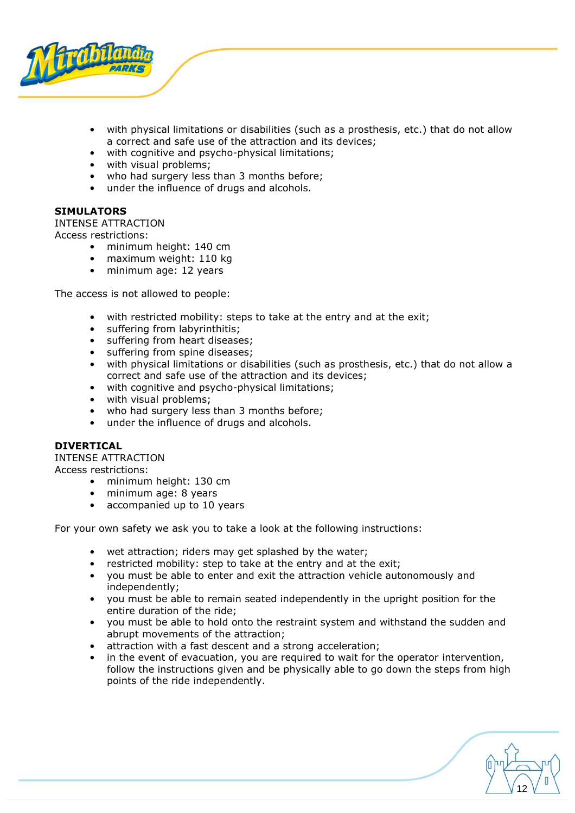

- with physical limitations or disabilities (such as a prosthesis, etc.) that do not allow a correct and safe use of the attraction and its devices;
- with cognitive and psycho-physical limitations;
- with visual problems;
- who had surgery less than 3 months before;
- under the influence of drugs and alcohols.

## <span id="page-11-0"></span>**SIMULATORS**

INTENSE ATTRACTION

Access restrictions:

- minimum height: 140 cm
- maximum weight: 110 kg
- minimum age: 12 years

The access is not allowed to people:

- with restricted mobility: steps to take at the entry and at the exit;
- suffering from labyrinthitis;
- suffering from heart diseases;
- suffering from spine diseases;
- with physical limitations or disabilities (such as prosthesis, etc.) that do not allow a correct and safe use of the attraction and its devices;
- with cognitive and psycho-physical limitations;
- with visual problems;
- who had surgery less than 3 months before;
- under the influence of drugs and alcohols.

## <span id="page-11-1"></span>**DIVERTICAL**

INTENSE ATTRACTION Access restrictions:

- minimum height: 130 cm
- minimum age: 8 years
- accompanied up to 10 years

- wet attraction; riders may get splashed by the water;
- restricted mobility: step to take at the entry and at the exit;
- you must be able to enter and exit the attraction vehicle autonomously and independently;
- you must be able to remain seated independently in the upright position for the entire duration of the ride;
- you must be able to hold onto the restraint system and withstand the sudden and abrupt movements of the attraction;
- attraction with a fast descent and a strong acceleration;
- in the event of evacuation, you are required to wait for the operator intervention, follow the instructions given and be physically able to go down the steps from high points of the ride independently.

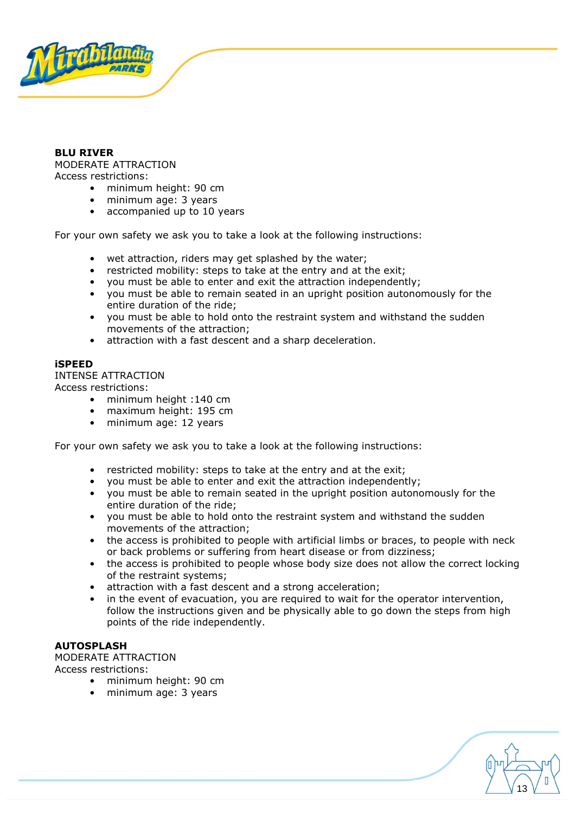

#### <span id="page-12-0"></span>**BLU RIVER**  MODERATE ATTRACTION Access restrictions:

- minimum height: 90 cm
- minimum age: 3 years
- accompanied up to 10 years

For your own safety we ask you to take a look at the following instructions:

- wet attraction, riders may get splashed by the water;
- restricted mobility: steps to take at the entry and at the exit;
- you must be able to enter and exit the attraction independently;
- you must be able to remain seated in an upright position autonomously for the entire duration of the ride;
- you must be able to hold onto the restraint system and withstand the sudden movements of the attraction;
- attraction with a fast descent and a sharp deceleration.

#### <span id="page-12-1"></span>**iSPEED**

INTENSE ATTRACTION Access restrictions:

- minimum height :140 cm
- maximum height: 195 cm
- minimum age: 12 years

For your own safety we ask you to take a look at the following instructions:

- restricted mobility: steps to take at the entry and at the exit;
- you must be able to enter and exit the attraction independently;
- you must be able to remain seated in the upright position autonomously for the entire duration of the ride;
- you must be able to hold onto the restraint system and withstand the sudden movements of the attraction;
- the access is prohibited to people with artificial limbs or braces, to people with neck or back problems or suffering from heart disease or from dizziness;
- the access is prohibited to people whose body size does not allow the correct locking of the restraint systems;
- attraction with a fast descent and a strong acceleration;
- in the event of evacuation, you are required to wait for the operator intervention, follow the instructions given and be physically able to go down the steps from high points of the ride independently.

13

## <span id="page-12-2"></span>**AUTOSPLASH**

MODERATE ATTRACTION Access restrictions:

- minimum height: 90 cm
- minimum age: 3 years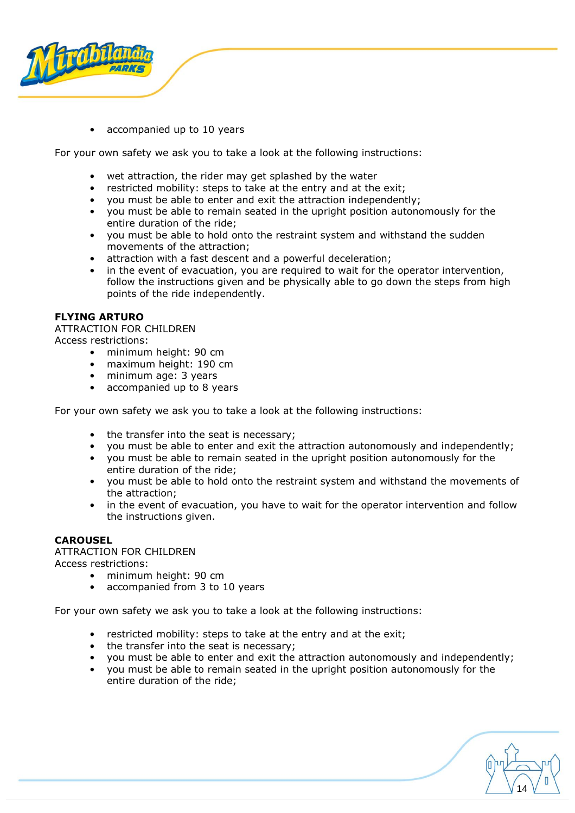

• accompanied up to 10 years

For your own safety we ask you to take a look at the following instructions:

- wet attraction, the rider may get splashed by the water
- restricted mobility: steps to take at the entry and at the exit;
- you must be able to enter and exit the attraction independently;
- you must be able to remain seated in the upright position autonomously for the entire duration of the ride;
- you must be able to hold onto the restraint system and withstand the sudden movements of the attraction;
- attraction with a fast descent and a powerful deceleration;
- in the event of evacuation, you are required to wait for the operator intervention, follow the instructions given and be physically able to go down the steps from high points of the ride independently.

## <span id="page-13-0"></span>**FLYING ARTURO**

ATTRACTION FOR CHILDREN Access restrictions:

- minimum height: 90 cm
- maximum height: 190 cm
- minimum age: 3 years
- accompanied up to 8 years

For your own safety we ask you to take a look at the following instructions:

- the transfer into the seat is necessary;
- you must be able to enter and exit the attraction autonomously and independently;
- you must be able to remain seated in the upright position autonomously for the entire duration of the ride;
- you must be able to hold onto the restraint system and withstand the movements of the attraction;
- in the event of evacuation, you have to wait for the operator intervention and follow the instructions given.

#### <span id="page-13-1"></span>**CAROUSEL**

#### ATTRACTION FOR CHILDREN

Access restrictions:

- minimum height: 90 cm
- accompanied from 3 to 10 years

- restricted mobility: steps to take at the entry and at the exit;
- the transfer into the seat is necessary;
- you must be able to enter and exit the attraction autonomously and independently;
- you must be able to remain seated in the upright position autonomously for the entire duration of the ride;

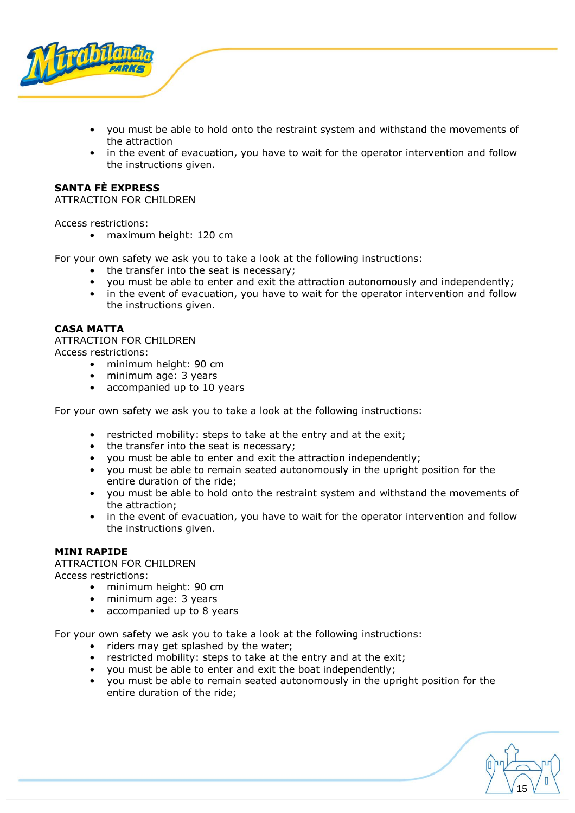

- you must be able to hold onto the restraint system and withstand the movements of the attraction
- in the event of evacuation, you have to wait for the operator intervention and follow the instructions given.

## <span id="page-14-0"></span>**SANTA FÈ EXPRESS**

ATTRACTION FOR CHILDREN

Access restrictions:

• maximum height: 120 cm

For your own safety we ask you to take a look at the following instructions:

- the transfer into the seat is necessary;
- you must be able to enter and exit the attraction autonomously and independently;
- in the event of evacuation, you have to wait for the operator intervention and follow the instructions given.

#### <span id="page-14-1"></span>**CASA MATTA**

ATTRACTION FOR CHILDREN Access restrictions:

• minimum height: 90 cm

- minimum age: 3 years
- accompanied up to 10 years

For your own safety we ask you to take a look at the following instructions:

- restricted mobility: steps to take at the entry and at the exit;
- the transfer into the seat is necessary;
- you must be able to enter and exit the attraction independently;
- you must be able to remain seated autonomously in the upright position for the entire duration of the ride;
- you must be able to hold onto the restraint system and withstand the movements of the attraction;
- in the event of evacuation, you have to wait for the operator intervention and follow the instructions given.

## <span id="page-14-2"></span>**MINI RAPIDE**

ATTRACTION FOR CHILDREN Access restrictions:

- minimum height: 90 cm
- minimum age: 3 years
- accompanied up to 8 years

- riders may get splashed by the water;
- restricted mobility: steps to take at the entry and at the exit;
- you must be able to enter and exit the boat independently;
- you must be able to remain seated autonomously in the upright position for the entire duration of the ride;

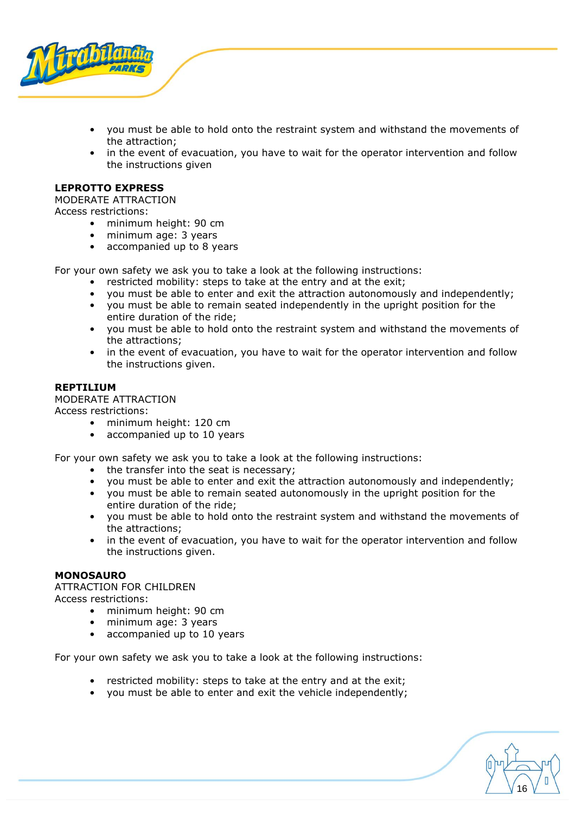

- you must be able to hold onto the restraint system and withstand the movements of the attraction;
- in the event of evacuation, you have to wait for the operator intervention and follow the instructions given

#### <span id="page-15-0"></span>**LEPROTTO EXPRESS**

MODERATE ATTRACTION

Access restrictions:

- minimum height: 90 cm
- minimum age: 3 years
- accompanied up to 8 years

For your own safety we ask you to take a look at the following instructions:

- restricted mobility: steps to take at the entry and at the exit;
- you must be able to enter and exit the attraction autonomously and independently;
- you must be able to remain seated independently in the upright position for the entire duration of the ride;
- you must be able to hold onto the restraint system and withstand the movements of the attractions;
- in the event of evacuation, you have to wait for the operator intervention and follow the instructions given.

#### <span id="page-15-1"></span>**REPTILIUM**

MODERATE ATTRACTION

Access restrictions:

- minimum height: 120 cm
- accompanied up to 10 years

For your own safety we ask you to take a look at the following instructions:

- the transfer into the seat is necessary;
- you must be able to enter and exit the attraction autonomously and independently;
- you must be able to remain seated autonomously in the upright position for the entire duration of the ride;
- you must be able to hold onto the restraint system and withstand the movements of the attractions;
- in the event of evacuation, you have to wait for the operator intervention and follow the instructions given.

#### <span id="page-15-2"></span>**MONOSAURO**

ATTRACTION FOR CHILDREN Access restrictions:

- minimum height: 90 cm
- minimum age: 3 years
- accompanied up to 10 years

- restricted mobility: steps to take at the entry and at the exit;
- you must be able to enter and exit the vehicle independently;

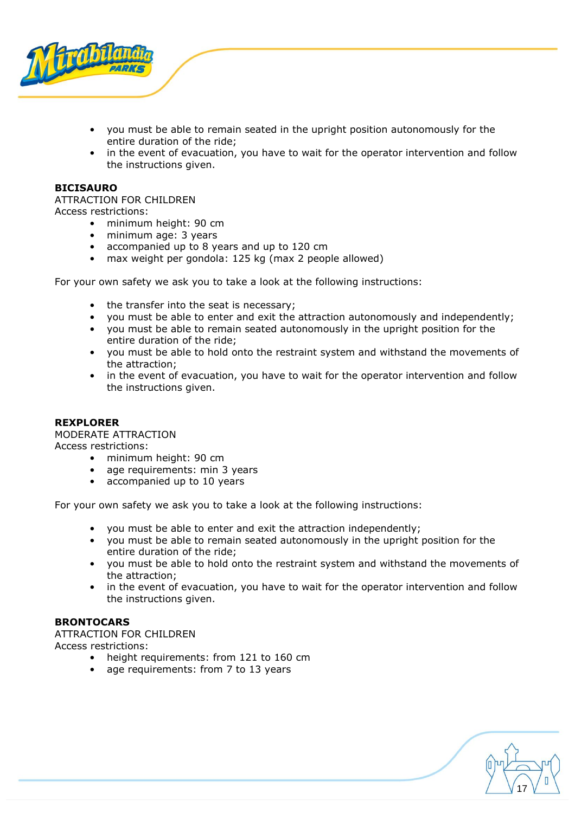

- you must be able to remain seated in the upright position autonomously for the entire duration of the ride;
- in the event of evacuation, you have to wait for the operator intervention and follow the instructions given.

#### <span id="page-16-0"></span>**BICISAURO**

ATTRACTION FOR CHILDREN Access restrictions:

- minimum height: 90 cm
- minimum age: 3 years
- accompanied up to 8 years and up to 120 cm
- max weight per gondola: 125 kg (max 2 people allowed)

For your own safety we ask you to take a look at the following instructions:

- the transfer into the seat is necessary;
- you must be able to enter and exit the attraction autonomously and independently;
- you must be able to remain seated autonomously in the upright position for the entire duration of the ride;
- you must be able to hold onto the restraint system and withstand the movements of the attraction;
- in the event of evacuation, you have to wait for the operator intervention and follow the instructions given.

#### <span id="page-16-1"></span>**REXPLORER**

MODERATE ATTRACTION

Access restrictions:

- minimum height: 90 cm
- age requirements: min 3 years
- accompanied up to 10 years

For your own safety we ask you to take a look at the following instructions:

- you must be able to enter and exit the attraction independently;
- you must be able to remain seated autonomously in the upright position for the entire duration of the ride;
- you must be able to hold onto the restraint system and withstand the movements of the attraction;
- in the event of evacuation, you have to wait for the operator intervention and follow the instructions given.

## <span id="page-16-2"></span>**BRONTOCARS**

ATTRACTION FOR CHILDREN Access restrictions:

- height requirements: from 121 to 160 cm
- age requirements: from 7 to 13 years

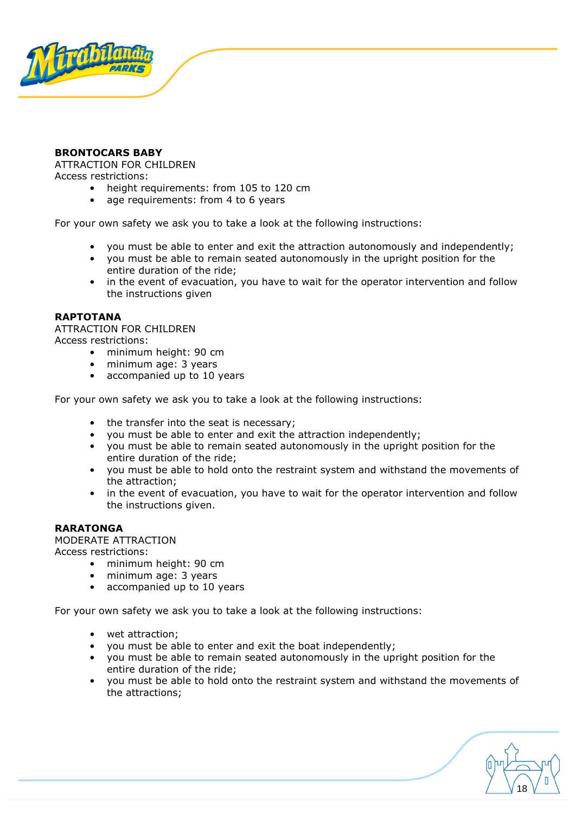

## <span id="page-17-0"></span>**BRONTOCARS BABY**

ATTRACTION FOR CHILDREN

Access restrictions:

- height requirements: from 105 to 120 cm
- age requirements: from 4 to 6 years

For your own safety we ask you to take a look at the following instructions:

- you must be able to enter and exit the attraction autonomously and independently;
- you must be able to remain seated autonomously in the upright position for the entire duration of the ride;
- in the event of evacuation, you have to wait for the operator intervention and follow the instructions given

## <span id="page-17-1"></span>**RAPTOTANA**

ATTRACTION FOR CHILDREN Access restrictions:

- minimum height: 90 cm
- minimum age: 3 years
- accompanied up to 10 years

For your own safety we ask you to take a look at the following instructions:

- the transfer into the seat is necessary;
- you must be able to enter and exit the attraction independently;
- you must be able to remain seated autonomously in the upright position for the entire duration of the ride;
- you must be able to hold onto the restraint system and withstand the movements of the attraction;
- in the event of evacuation, you have to wait for the operator intervention and follow the instructions given.

#### <span id="page-17-2"></span>**RARATONGA**

MODERATE ATTRACTION

Access restrictions:

- minimum height: 90 cm
- minimum age: 3 years
- accompanied up to 10 years

- wet attraction;
- you must be able to enter and exit the boat independently;
- you must be able to remain seated autonomously in the upright position for the entire duration of the ride;
- you must be able to hold onto the restraint system and withstand the movements of the attractions;

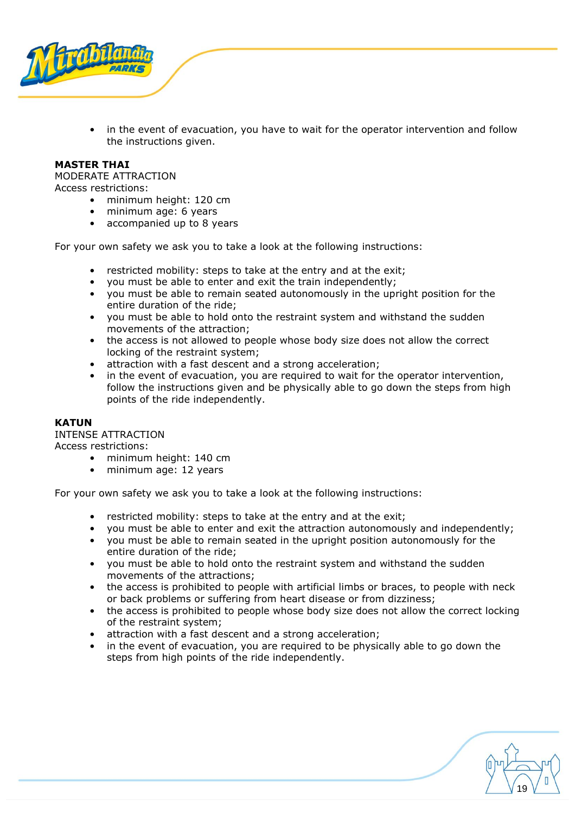

• in the event of evacuation, you have to wait for the operator intervention and follow the instructions given.

#### <span id="page-18-0"></span>**MASTER THAI**

MODERATE ATTRACTION Access restrictions:

- minimum height: 120 cm
	- minimum age: 6 years
	- accompanied up to 8 years

For your own safety we ask you to take a look at the following instructions:

- restricted mobility: steps to take at the entry and at the exit;
- you must be able to enter and exit the train independently;
- you must be able to remain seated autonomously in the upright position for the entire duration of the ride;
- you must be able to hold onto the restraint system and withstand the sudden movements of the attraction;
- the access is not allowed to people whose body size does not allow the correct locking of the restraint system;
- attraction with a fast descent and a strong acceleration;
- in the event of evacuation, you are required to wait for the operator intervention, follow the instructions given and be physically able to go down the steps from high points of the ride independently.

#### <span id="page-18-1"></span>**KATUN**

INTENSE ATTRACTION

Access restrictions:

- minimum height: 140 cm
- minimum age: 12 years

- restricted mobility: steps to take at the entry and at the exit;
- you must be able to enter and exit the attraction autonomously and independently;
- you must be able to remain seated in the upright position autonomously for the entire duration of the ride;
- you must be able to hold onto the restraint system and withstand the sudden movements of the attractions;
- the access is prohibited to people with artificial limbs or braces, to people with neck or back problems or suffering from heart disease or from dizziness;
- the access is prohibited to people whose body size does not allow the correct locking of the restraint system;
- attraction with a fast descent and a strong acceleration;
- in the event of evacuation, you are required to be physically able to go down the steps from high points of the ride independently.

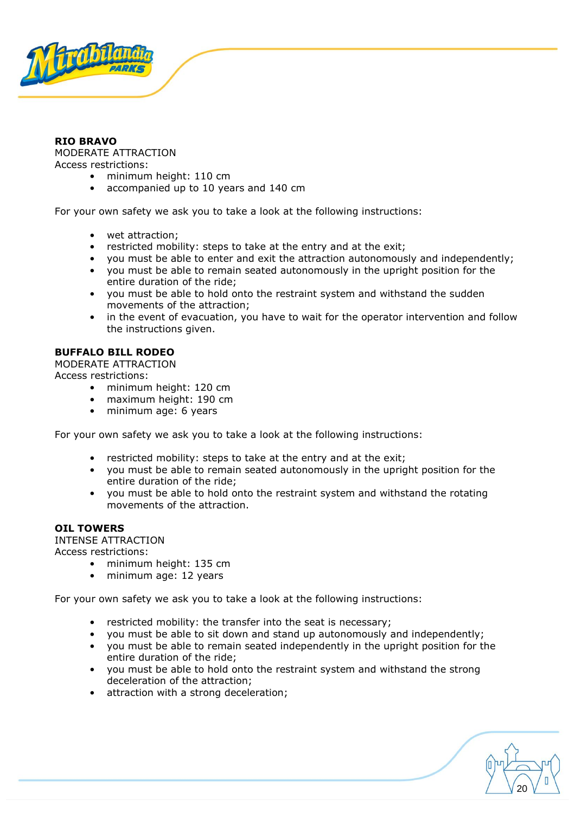

## <span id="page-19-0"></span>**RIO BRAVO**

MODERATE ATTRACTION Access restrictions:

- minimum height: 110 cm
- accompanied up to 10 years and 140 cm

For your own safety we ask you to take a look at the following instructions:

- wet attraction;
- restricted mobility: steps to take at the entry and at the exit;
- you must be able to enter and exit the attraction autonomously and independently;
- you must be able to remain seated autonomously in the upright position for the entire duration of the ride;
- you must be able to hold onto the restraint system and withstand the sudden movements of the attraction;
- in the event of evacuation, you have to wait for the operator intervention and follow the instructions given.

## <span id="page-19-1"></span>**BUFFALO BILL RODEO**

MODERATE ATTRACTION Access restrictions:

- minimum height: 120 cm
- maximum height: 190 cm
- minimum age: 6 years

For your own safety we ask you to take a look at the following instructions:

- restricted mobility: steps to take at the entry and at the exit;
- you must be able to remain seated autonomously in the upright position for the entire duration of the ride;
- you must be able to hold onto the restraint system and withstand the rotating movements of the attraction.

## <span id="page-19-2"></span>**OIL TOWERS**

INTENSE ATTRACTION

Access restrictions:

- minimum height: 135 cm
- minimum age: 12 years

- restricted mobility: the transfer into the seat is necessary;
- you must be able to sit down and stand up autonomously and independently;
- you must be able to remain seated independently in the upright position for the entire duration of the ride;
- you must be able to hold onto the restraint system and withstand the strong deceleration of the attraction;
- attraction with a strong deceleration;

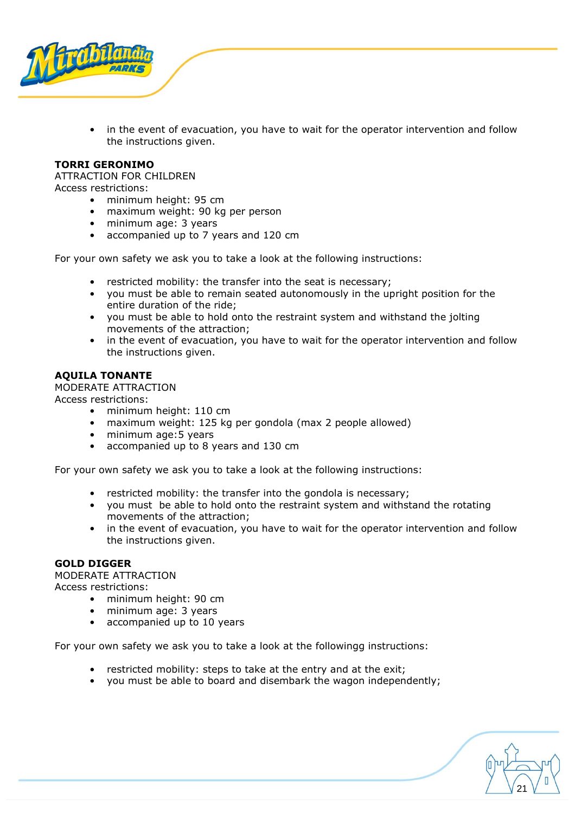

in the event of evacuation, you have to wait for the operator intervention and follow the instructions given.

## <span id="page-20-0"></span>**TORRI GERONIMO**

ATTRACTION FOR CHILDREN Access restrictions:

- minimum height: 95 cm
	- maximum weight: 90 kg per person
	- minimum age: 3 years
	- accompanied up to 7 years and 120 cm

For your own safety we ask you to take a look at the following instructions:

- restricted mobility: the transfer into the seat is necessary;
- you must be able to remain seated autonomously in the upright position for the entire duration of the ride;
- you must be able to hold onto the restraint system and withstand the jolting movements of the attraction;
- in the event of evacuation, you have to wait for the operator intervention and follow the instructions given.

#### <span id="page-20-1"></span>**AQUILA TONANTE**

MODERATE ATTRACTION

Access restrictions:

- minimum height: 110 cm
- maximum weight: 125 kg per gondola (max 2 people allowed)
- minimum age:5 years
- accompanied up to 8 years and 130 cm

For your own safety we ask you to take a look at the following instructions:

- restricted mobility: the transfer into the gondola is necessary;
- you must be able to hold onto the restraint system and withstand the rotating movements of the attraction;
- in the event of evacuation, you have to wait for the operator intervention and follow the instructions given.

#### <span id="page-20-2"></span>**GOLD DIGGER**

MODERATE ATTRACTION

Access restrictions:

- minimum height: 90 cm
- minimum age: 3 years
- accompanied up to 10 years

- restricted mobility: steps to take at the entry and at the exit;
- you must be able to board and disembark the wagon independently;

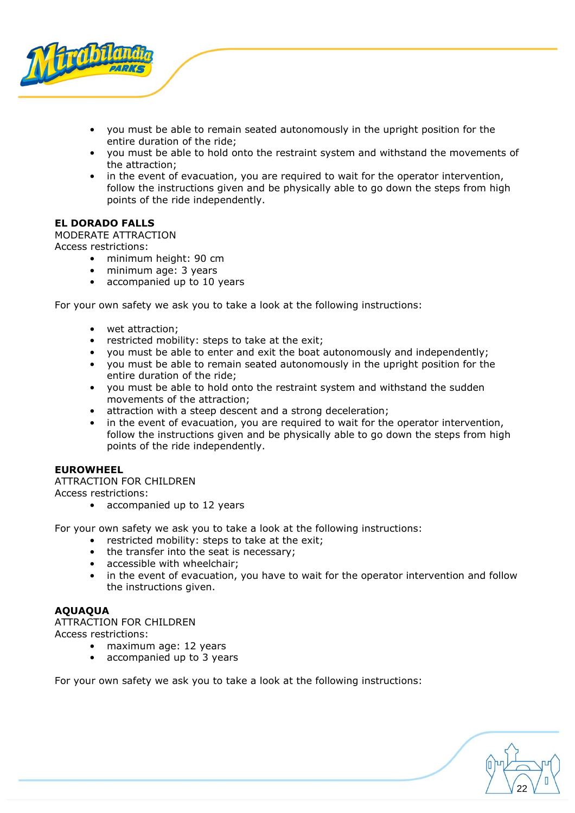

- you must be able to remain seated autonomously in the upright position for the entire duration of the ride;
- you must be able to hold onto the restraint system and withstand the movements of the attraction;
- in the event of evacuation, you are required to wait for the operator intervention, follow the instructions given and be physically able to go down the steps from high points of the ride independently.

## <span id="page-21-0"></span>**EL DORADO FALLS**

MODERATE ATTRACTION

Access restrictions:

- minimum height: 90 cm<br>• minimum age: 3 years
- minimum age: 3 years
- accompanied up to 10 years

For your own safety we ask you to take a look at the following instructions:

- wet attraction;
- restricted mobility: steps to take at the exit;
- you must be able to enter and exit the boat autonomously and independently;
- you must be able to remain seated autonomously in the upright position for the entire duration of the ride;
- you must be able to hold onto the restraint system and withstand the sudden movements of the attraction;
- attraction with a steep descent and a strong deceleration;
- in the event of evacuation, you are required to wait for the operator intervention, follow the instructions given and be physically able to go down the steps from high points of the ride independently.

#### <span id="page-21-1"></span>**EUROWHEEL**

ATTRACTION FOR CHILDREN Access restrictions:

• accompanied up to 12 years

For your own safety we ask you to take a look at the following instructions:

- restricted mobility: steps to take at the exit;
- the transfer into the seat is necessary;
- accessible with wheelchair;
- in the event of evacuation, you have to wait for the operator intervention and follow the instructions given.

## <span id="page-21-2"></span>**AQUAQUA**

ATTRACTION FOR CHILDREN

Access restrictions:

- maximum age: 12 years
- accompanied up to 3 years

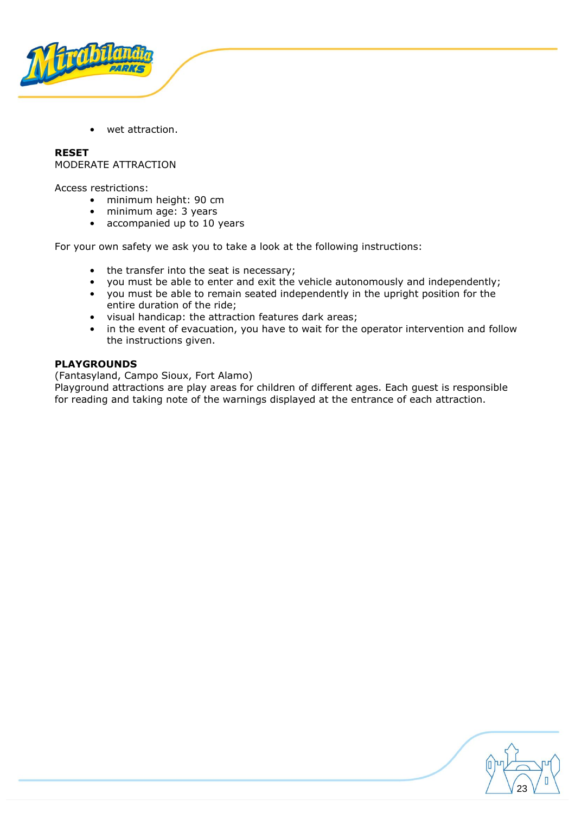

wet attraction.

<span id="page-22-0"></span>**RESET**  MODERATE ATTRACTION

Access restrictions:

- minimum height: 90 cm
- minimum age: 3 years
- accompanied up to 10 years

For your own safety we ask you to take a look at the following instructions:

- the transfer into the seat is necessary;
- you must be able to enter and exit the vehicle autonomously and independently;
- you must be able to remain seated independently in the upright position for the entire duration of the ride;
- visual handicap: the attraction features dark areas;
- in the event of evacuation, you have to wait for the operator intervention and follow the instructions given.

## <span id="page-22-1"></span>**PLAYGROUNDS**

(Fantasyland, Campo Sioux, Fort Alamo)

Playground attractions are play areas for children of different ages. Each guest is responsible for reading and taking note of the warnings displayed at the entrance of each attraction.

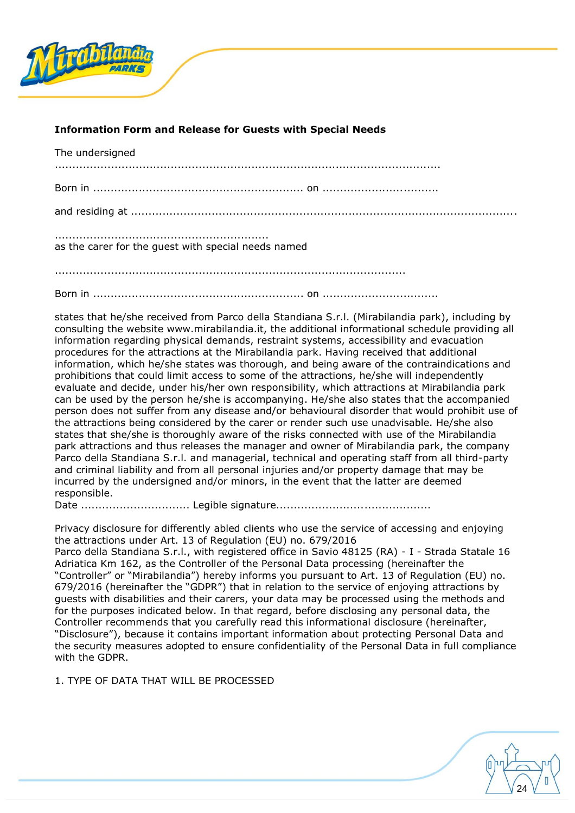

## <span id="page-23-0"></span>**Information Form and Release for Guests with Special Needs**

| The undersigned                                     |  |
|-----------------------------------------------------|--|
|                                                     |  |
|                                                     |  |
| as the carer for the quest with special needs named |  |
|                                                     |  |
|                                                     |  |

states that he/she received from Parco della Standiana S.r.l. (Mirabilandia park), including by consulting the website www.mirabilandia.it, the additional informational schedule providing all information regarding physical demands, restraint systems, accessibility and evacuation procedures for the attractions at the Mirabilandia park. Having received that additional information, which he/she states was thorough, and being aware of the contraindications and prohibitions that could limit access to some of the attractions, he/she will independently evaluate and decide, under his/her own responsibility, which attractions at Mirabilandia park can be used by the person he/she is accompanying. He/she also states that the accompanied person does not suffer from any disease and/or behavioural disorder that would prohibit use of the attractions being considered by the carer or render such use unadvisable. He/she also states that she/she is thoroughly aware of the risks connected with use of the Mirabilandia park attractions and thus releases the manager and owner of Mirabilandia park, the company Parco della Standiana S.r.l. and managerial, technical and operating staff from all third-party and criminal liability and from all personal injuries and/or property damage that may be incurred by the undersigned and/or minors, in the event that the latter are deemed responsible.

Date ............................... Legible signature............................................

Privacy disclosure for differently abled clients who use the service of accessing and enjoying the attractions under Art. 13 of Regulation (EU) no. 679/2016

Parco della Standiana S.r.l., with registered office in Savio 48125 (RA) - I - Strada Statale 16 Adriatica Km 162, as the Controller of the Personal Data processing (hereinafter the "Controller" or "Mirabilandia") hereby informs you pursuant to Art. 13 of Regulation (EU) no. 679/2016 (hereinafter the "GDPR") that in relation to the service of enjoying attractions by guests with disabilities and their carers, your data may be processed using the methods and for the purposes indicated below. In that regard, before disclosing any personal data, the Controller recommends that you carefully read this informational disclosure (hereinafter, "Disclosure"), because it contains important information about protecting Personal Data and the security measures adopted to ensure confidentiality of the Personal Data in full compliance with the GDPR.

1. TYPE OF DATA THAT WILL BE PROCESSED

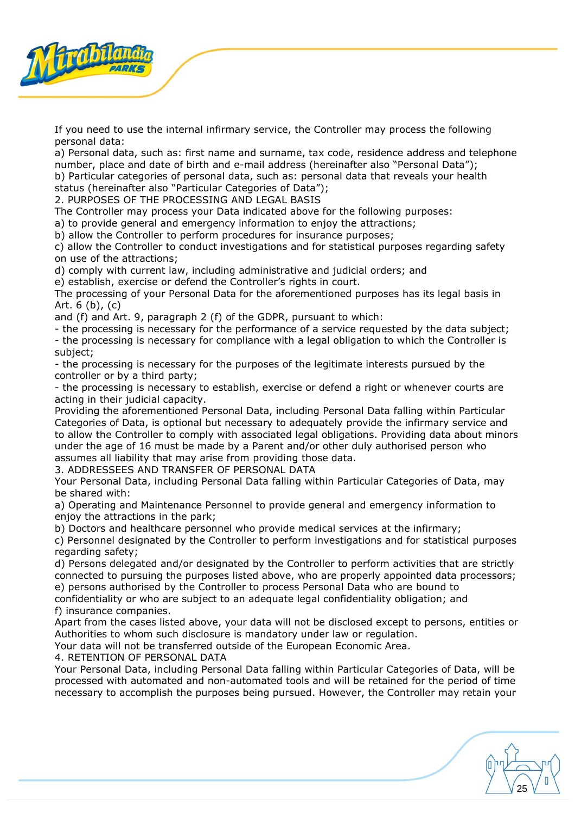

If you need to use the internal infirmary service, the Controller may process the following personal data:

a) Personal data, such as: first name and surname, tax code, residence address and telephone number, place and date of birth and e-mail address (hereinafter also "Personal Data");

b) Particular categories of personal data, such as: personal data that reveals your health status (hereinafter also "Particular Categories of Data");

2. PURPOSES OF THE PROCESSING AND LEGAL BASIS

The Controller may process your Data indicated above for the following purposes:

a) to provide general and emergency information to enjoy the attractions;

b) allow the Controller to perform procedures for insurance purposes;

c) allow the Controller to conduct investigations and for statistical purposes regarding safety on use of the attractions;

d) comply with current law, including administrative and judicial orders; and

e) establish, exercise or defend the Controller's rights in court.

The processing of your Personal Data for the aforementioned purposes has its legal basis in Art. 6 (b), (c)

and (f) and Art. 9, paragraph 2 (f) of the GDPR, pursuant to which:

- the processing is necessary for the performance of a service requested by the data subject; - the processing is necessary for compliance with a legal obligation to which the Controller is subject;

- the processing is necessary for the purposes of the legitimate interests pursued by the controller or by a third party;

- the processing is necessary to establish, exercise or defend a right or whenever courts are acting in their judicial capacity.

Providing the aforementioned Personal Data, including Personal Data falling within Particular Categories of Data, is optional but necessary to adequately provide the infirmary service and to allow the Controller to comply with associated legal obligations. Providing data about minors under the age of 16 must be made by a Parent and/or other duly authorised person who assumes all liability that may arise from providing those data.

3. ADDRESSEES AND TRANSFER OF PERSONAL DATA

Your Personal Data, including Personal Data falling within Particular Categories of Data, may be shared with:

a) Operating and Maintenance Personnel to provide general and emergency information to enjoy the attractions in the park;

b) Doctors and healthcare personnel who provide medical services at the infirmary;

c) Personnel designated by the Controller to perform investigations and for statistical purposes regarding safety;

d) Persons delegated and/or designated by the Controller to perform activities that are strictly connected to pursuing the purposes listed above, who are properly appointed data processors; e) persons authorised by the Controller to process Personal Data who are bound to

confidentiality or who are subject to an adequate legal confidentiality obligation; and f) insurance companies.

Apart from the cases listed above, your data will not be disclosed except to persons, entities or Authorities to whom such disclosure is mandatory under law or regulation.

Your data will not be transferred outside of the European Economic Area.

4. RETENTION OF PERSONAL DATA

Your Personal Data, including Personal Data falling within Particular Categories of Data, will be processed with automated and non-automated tools and will be retained for the period of time necessary to accomplish the purposes being pursued. However, the Controller may retain your